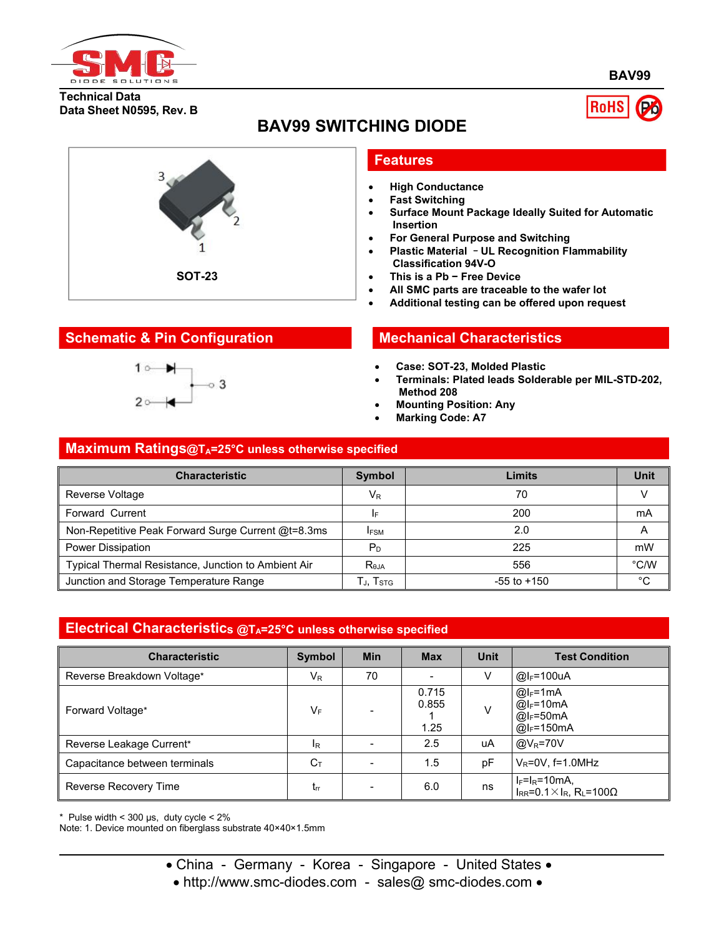

**BAV99**

#### **Technical Data Data Sheet N0595, Rev. B**





# **BAV99 SWITCHING DIODE**

### **Features**

- **High Conductance**
- **Fast Switching**
- **Surface Mount Package Ideally Suited for Automatic Insertion**
- **For General Purpose and Switching**
- **Plastic Material** –**UL Recognition Flammability Classification 94V-O**
- **This is a Pb − Free Device**
- **All SMC parts are traceable to the wafer lot**
- **Additional testing can be offered upon request**

- **Case: SOT-23, Molded Plastic**
- **Terminals: Plated leads Solderable per MIL-STD-202, Method 208**
- **Mounting Position: Any**
- **Marking Code: A7**

# **Maximum Ratings@TA=25°C unless otherwise specified**

| <b>Characteristic</b>                               | <b>Symbol</b>          | Limits          | <b>Unit</b>   |
|-----------------------------------------------------|------------------------|-----------------|---------------|
| Reverse Voltage                                     | $V_{R}$                | 70              |               |
| Forward Current                                     | I۴                     | 200             | mA            |
| Non-Repetitive Peak Forward Surge Current @t=8.3ms  | <b>IFSM</b>            | 2.0             | A             |
| Power Dissipation                                   | $P_D$                  | 225             | mW            |
| Typical Thermal Resistance, Junction to Ambient Air | R <sub>eja</sub>       | 556             | $\degree$ C/W |
| Junction and Storage Temperature Range              | Гј, $T_{\mathtt{STG}}$ | $-55$ to $+150$ | $^{\circ}$ C  |

#### **Electrical Characteristics @TA=25°C unless otherwise specified**

| <b>Characteristic</b>         | Symbol                              | <b>Min</b>               | <b>Max</b>             | <b>Unit</b> | <b>Test Condition</b>                                                               |
|-------------------------------|-------------------------------------|--------------------------|------------------------|-------------|-------------------------------------------------------------------------------------|
| Reverse Breakdown Voltage*    | $V_{R}$                             | 70                       |                        |             | $@I_F=100uA$                                                                        |
| Forward Voltage*              | V⊧                                  |                          | 0.715<br>0.855<br>1.25 | V           | $@I_F=1mA$<br>$@I_F=10mA$<br>$\overline{\omega}$ <sub>F</sub> =50mA<br>$@I_F=150mA$ |
| Reverse Leakage Current*      | 1R                                  |                          | 2.5                    | uA          | $@V_R = 70V$                                                                        |
| Capacitance between terminals | $C_{\text{T}}$                      | $\overline{\phantom{0}}$ | 1.5                    | pF          | $V_R = 0V$ , f=1.0MHz                                                               |
| Reverse Recovery Time         | $\mathsf{t}_{\mathsf{r}\mathsf{r}}$ | -                        | 6.0                    | ns          | $I_F=I_R=10mA$ ,<br>$I_{RR} = 0.1 \times I_R$ , R <sub>L</sub> =100 $\Omega$        |

 $*$  Pulse width < 300 µs, duty cycle <  $2\%$ 

Note: 1. Device mounted on fiberglass substrate 40×40×1.5mm

- China Germany Korea Singapore United States •
- http://www.smc-diodes.com sales@ smc-diodes.com •

## **Schematic & Pin Configuration Mechanical Characteristics**

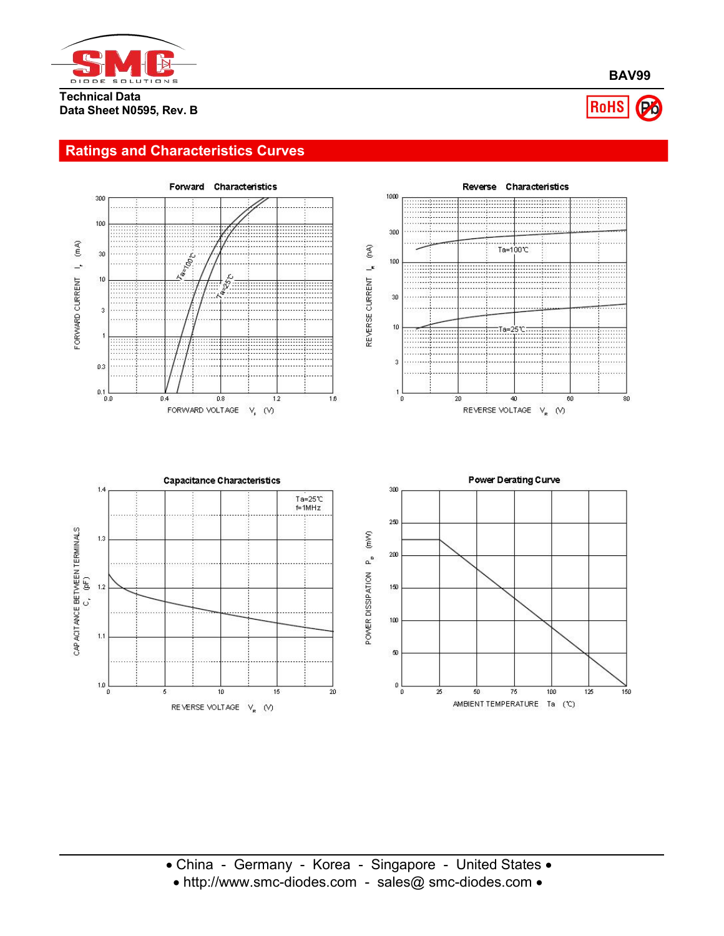

#### **Technical Data Data Sheet N0595, Rev. B**

## **Ratings and Characteristics Curves**



**BAV99**

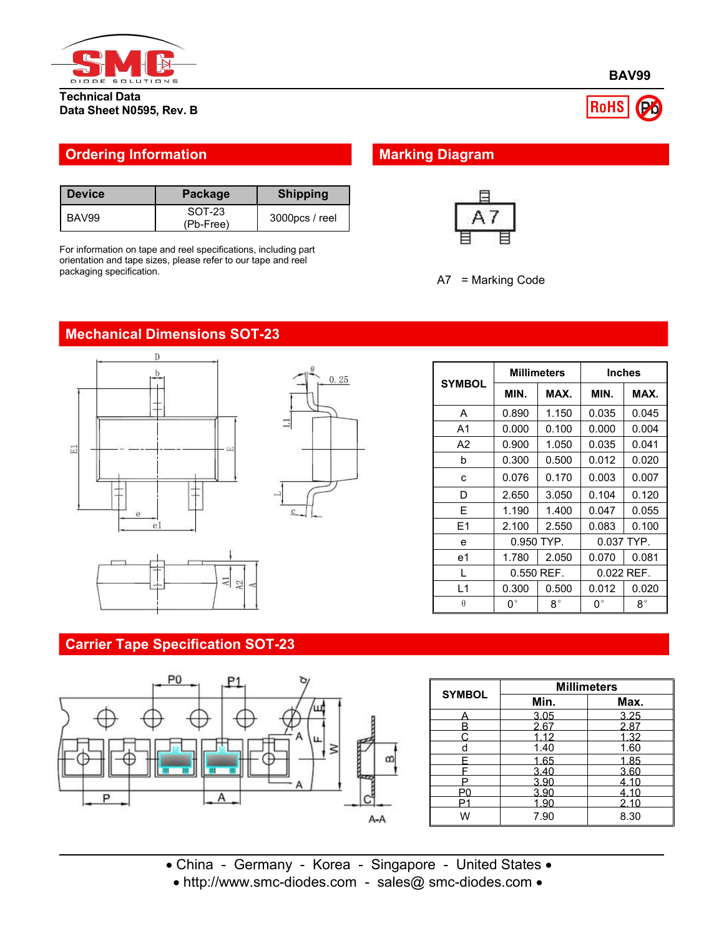

**Technical Data Data Sheet N0595, Rev. B**

### **Ordering Information Marking Diagram**

| <b>Device</b> | <b>Package</b>      | <b>Shipping</b>   |
|---------------|---------------------|-------------------|
| BAV99         | SOT-23<br>(Pb-Free) | $3000$ pcs / reel |

For information on tape and reel specifications, including part orientation and tape sizes, please refer to our tape and reel packaging specification.





# **Mechanical Dimensions SOT-23**





# $0.25$ π

|                | <b>Millimeters</b> |              | <b>Inches</b> |             |
|----------------|--------------------|--------------|---------------|-------------|
| <b>SYMBOL</b>  | MIN.               | MAX.         | MAX.<br>MIN.  |             |
| A              | 0.890              | 1.150        | 0.035         | 0.045       |
| A <sub>1</sub> | 0.000              | 0.100        | 0.000         | 0.004       |
| A2             | 0.900              | 1.050        | 0.035         | 0.041       |
| b              | 0.300              | 0.500        | 0.012         | 0.020       |
| c              | 0.076              | 0.170        | 0.003         | 0.007       |
| D              | 2.650              | 3.050        | 0.104         | 0.120       |
| E.             | 1.190              | 1.400        | 0.047         | 0.055       |
| E1             | 2.100              | 2.550        | 0.083         | 0.100       |
| e              |                    | 0.950 TYP.   | 0.037 TYP.    |             |
| e1             | 1.780              | 2.050        | 0.070         | 0.081       |
| L              |                    | $0.550$ REF. | 0.022 REF.    |             |
| L1             | 0.300              | 0.500        | 0.012         | 0.020       |
| $\theta$       | $0^{\circ}$        | $8^{\circ}$  | $0^{\circ}$   | $8^{\circ}$ |

#### **Carrier Tape Specification SOT-23**



|               | <b>Millimeters</b> |      |  |  |
|---------------|--------------------|------|--|--|
| <b>SYMBOL</b> | Min.               | Max. |  |  |
|               | 3.05               | 3.25 |  |  |
| B             | 2.67               | 2.87 |  |  |
|               | 1.12               | 1.32 |  |  |
|               | 1.40               | 1.60 |  |  |
|               | 1.65               | 1.85 |  |  |
|               | 3.40               | 3.60 |  |  |
| D             | 3.90               | 4.10 |  |  |
| P٨            | 3.90               | 4.10 |  |  |
| D             | 1.90               | 2.10 |  |  |
| W             | 7.90               | 8.30 |  |  |

China - Germany - Korea - Singapore - United States

• http://www.smc-diodes.com - sales@ smc-diodes.com •



RoHS